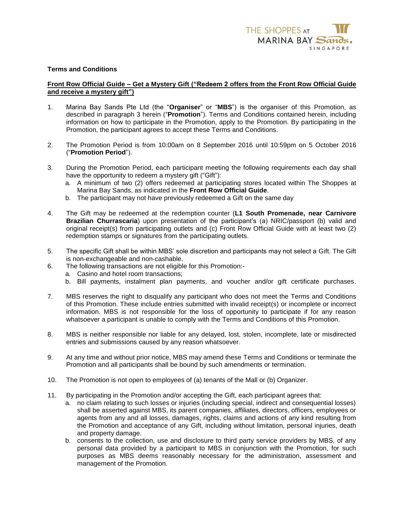## **Terms and Conditions**

## **Front Row Official Guide – Get a Mystery Gift ("Redeem 2 offers from the Front Row Official Guide and receive a mystery gift")**

- 1. Marina Bay Sands Pte Ltd (the "**Organiser**" or "**MBS**") is the organiser of this Promotion, as described in paragraph 3 herein ("**Promotion**"). Terms and Conditions contained herein, including information on how to participate in the Promotion, apply to the Promotion. By participating in the Promotion, the participant agrees to accept these Terms and Conditions.
- 2. The Promotion Period is from 10:00am on 8 September 2016 until 10:59pm on 5 October 2016 ("**Promotion Period**").
- 3. During the Promotion Period, each participant meeting the following requirements each day shall have the opportunity to redeem a mystery gift ("Gift"):
	- a. A minimum of two (2) offers redeemed at participating stores located within The Shoppes at Marina Bay Sands, as indicated in the **Front Row Official Guide**.
	- b. The participant may not have previously redeemed a Gift on the same day
- 4. The Gift may be redeemed at the redemption counter (**L1 South Promenade, near Carnivore Brazilian Churrascaria**) upon presentation of the participant's (a) NRIC/passport (b) valid and original receipt(s) from participating outlets and (c) Front Row Official Guide with at least two (2) redemption stamps or signatures from the participating outlets.
- 5. The specific Gift shall be within MBS' sole discretion and participants may not select a Gift. The Gift is non-exchangeable and non-cashable.
- 6. The following transactions are not eligible for this Promotion:
	- a. Casino and hotel room transactions;
	- b. Bill payments, instalment plan payments, and voucher and/or gift certificate purchases.
- 7. MBS reserves the right to disqualify any participant who does not meet the Terms and Conditions of this Promotion. These include entries submitted with invalid receipt(s) or incomplete or incorrect information. MBS is not responsible for the loss of opportunity to participate if for any reason whatsoever a participant is unable to comply with the Terms and Conditions of this Promotion.
- 8. MBS is neither responsible nor liable for any delayed, lost, stolen, incomplete, late or misdirected entries and submissions caused by any reason whatsoever.
- 9. At any time and without prior notice, MBS may amend these Terms and Conditions or terminate the Promotion and all participants shall be bound by such amendments or termination.
- 10. The Promotion is not open to employees of (a) tenants of the Mall or (b) Organizer.
- 11. By participating in the Promotion and/or accepting the Gift, each participant agrees that:
	- a. no claim relating to such losses or injuries (including special, indirect and consequential losses) shall be asserted against MBS, its parent companies, affiliates, directors, officers, employees or agents from any and all losses, damages, rights, claims and actions of any kind resulting from the Promotion and acceptance of any Gift, including without limitation, personal injuries, death and property damage.
	- b. consents to the collection, use and disclosure to third party service providers by MBS, of any personal data provided by a participant to MBS in conjunction with the Promotion, for such purposes as MBS deems reasonably necessary for the administration, assessment and management of the Promotion.